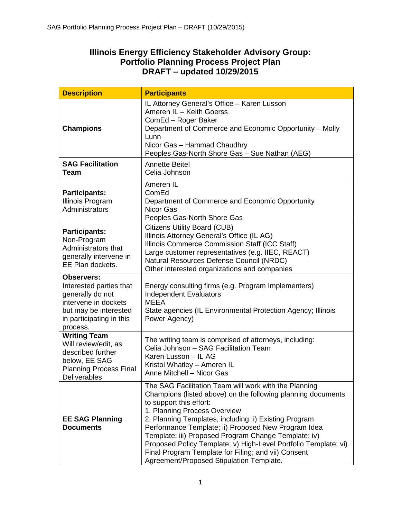# **Illinois Energy Efficiency Stakeholder Advisory Group: Portfolio Planning Process Project Plan DRAFT – updated 10/29/2015**

| <b>Description</b>                                                                                                                                        | <b>Participants</b>                                                                                                                                                                                                                                                                                                                                                                                                                                                                                                            |  |  |
|-----------------------------------------------------------------------------------------------------------------------------------------------------------|--------------------------------------------------------------------------------------------------------------------------------------------------------------------------------------------------------------------------------------------------------------------------------------------------------------------------------------------------------------------------------------------------------------------------------------------------------------------------------------------------------------------------------|--|--|
| <b>Champions</b>                                                                                                                                          | IL Attorney General's Office - Karen Lusson<br>Ameren IL - Keith Goerss<br>ComEd - Roger Baker<br>Department of Commerce and Economic Opportunity - Molly<br>Lunn<br>Nicor Gas - Hammad Chaudhry<br>Peoples Gas-North Shore Gas - Sue Nathan (AEG)                                                                                                                                                                                                                                                                             |  |  |
| <b>SAG Facilitation</b><br><b>Team</b>                                                                                                                    | Annette Beitel<br>Celia Johnson                                                                                                                                                                                                                                                                                                                                                                                                                                                                                                |  |  |
| <b>Participants:</b><br>Illinois Program<br>Administrators                                                                                                | Ameren IL<br>ComEd<br>Department of Commerce and Economic Opportunity<br>Nicor Gas<br>Peoples Gas-North Shore Gas                                                                                                                                                                                                                                                                                                                                                                                                              |  |  |
| <b>Participants:</b><br>Non-Program<br>Administrators that<br>generally intervene in<br>EE Plan dockets.                                                  | <b>Citizens Utility Board (CUB)</b><br>Illinois Attorney General's Office (IL AG)<br>Illinois Commerce Commission Staff (ICC Staff)<br>Large customer representatives (e.g. IIEC, REACT)<br>Natural Resources Defense Council (NRDC)<br>Other interested organizations and companies                                                                                                                                                                                                                                           |  |  |
| <b>Observers:</b><br>Interested parties that<br>generally do not<br>intervene in dockets<br>but may be interested<br>in participating in this<br>process. | Energy consulting firms (e.g. Program Implementers)<br><b>Independent Evaluators</b><br><b>MEEA</b><br>State agencies (IL Environmental Protection Agency; Illinois<br>Power Agency)                                                                                                                                                                                                                                                                                                                                           |  |  |
| <b>Writing Team</b><br>Will review/edit, as<br>described further<br>below, EE SAG<br><b>Planning Process Final</b><br><b>Deliverables</b>                 | The writing team is comprised of attorneys, including:<br>Celia Johnson - SAG Facilitation Team<br>Karen Lusson - IL AG<br>Kristol Whatley - Ameren IL<br>Anne Mitchell - Nicor Gas                                                                                                                                                                                                                                                                                                                                            |  |  |
| <b>EE SAG Planning</b><br><b>Documents</b>                                                                                                                | The SAG Facilitation Team will work with the Planning<br>Champions (listed above) on the following planning documents<br>to support this effort:<br>1. Planning Process Overview<br>2. Planning Templates, including: i) Existing Program<br>Performance Template; ii) Proposed New Program Idea<br>Template; iii) Proposed Program Change Template; iv)<br>Proposed Policy Template; v) High-Level Portfolio Template; vi)<br>Final Program Template for Filing; and vii) Consent<br>Agreement/Proposed Stipulation Template. |  |  |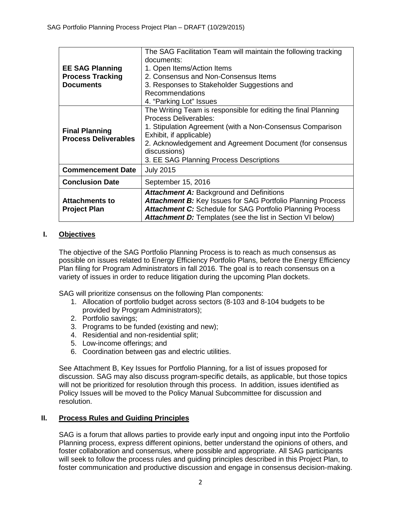| <b>EE SAG Planning</b><br><b>Process Tracking</b><br><b>Documents</b> | The SAG Facilitation Team will maintain the following tracking<br>documents:<br>1. Open Items/Action Items<br>2. Consensus and Non-Consensus Items<br>3. Responses to Stakeholder Suggestions and<br><b>Recommendations</b>                                                                                   |  |  |
|-----------------------------------------------------------------------|---------------------------------------------------------------------------------------------------------------------------------------------------------------------------------------------------------------------------------------------------------------------------------------------------------------|--|--|
|                                                                       | 4. "Parking Lot" Issues                                                                                                                                                                                                                                                                                       |  |  |
| <b>Final Planning</b><br><b>Process Deliverables</b>                  | The Writing Team is responsible for editing the final Planning<br><b>Process Deliverables:</b><br>1. Stipulation Agreement (with a Non-Consensus Comparison<br>Exhibit, if applicable)<br>2. Acknowledgement and Agreement Document (for consensus<br>discussions)<br>3. EE SAG Planning Process Descriptions |  |  |
| <b>Commencement Date</b>                                              | <b>July 2015</b>                                                                                                                                                                                                                                                                                              |  |  |
| <b>Conclusion Date</b>                                                | September 15, 2016                                                                                                                                                                                                                                                                                            |  |  |
| <b>Attachments to</b><br><b>Project Plan</b>                          | <b>Attachment A: Background and Definitions</b><br><b>Attachment B:</b> Key Issues for SAG Portfolio Planning Process<br><b>Attachment C:</b> Schedule for SAG Portfolio Planning Process<br><b>Attachment D:</b> Templates (see the list in Section VI below)                                                |  |  |

## **I. Objectives**

The objective of the SAG Portfolio Planning Process is to reach as much consensus as possible on issues related to Energy Efficiency Portfolio Plans, before the Energy Efficiency Plan filing for Program Administrators in fall 2016. The goal is to reach consensus on a variety of issues in order to reduce litigation during the upcoming Plan dockets.

SAG will prioritize consensus on the following Plan components:

- 1. Allocation of portfolio budget across sectors (8-103 and 8-104 budgets to be provided by Program Administrators);
- 2. Portfolio savings;
- 3. Programs to be funded (existing and new);
- 4. Residential and non-residential split;
- 5. Low-income offerings; and
- 6. Coordination between gas and electric utilities.

See Attachment B, Key Issues for Portfolio Planning, for a list of issues proposed for discussion. SAG may also discuss program-specific details, as applicable, but those topics will not be prioritized for resolution through this process. In addition, issues identified as Policy Issues will be moved to the Policy Manual Subcommittee for discussion and resolution.

#### **II. Process Rules and Guiding Principles**

SAG is a forum that allows parties to provide early input and ongoing input into the Portfolio Planning process, express different opinions, better understand the opinions of others, and foster collaboration and consensus, where possible and appropriate. All SAG participants will seek to follow the process rules and guiding principles described in this Project Plan, to foster communication and productive discussion and engage in consensus decision-making.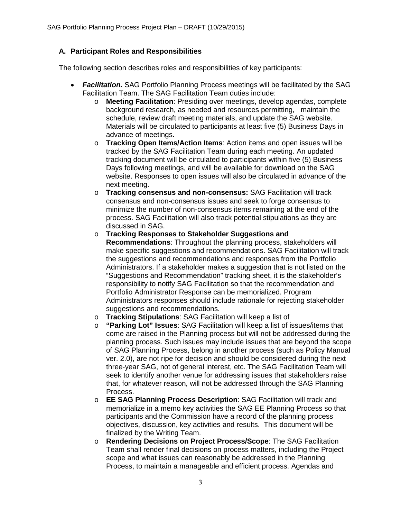## **A. Participant Roles and Responsibilities**

The following section describes roles and responsibilities of key participants:

- *Facilitation.* SAG Portfolio Planning Process meetings will be facilitated by the SAG Facilitation Team. The SAG Facilitation Team duties include:
	- o **Meeting Facilitation**: Presiding over meetings, develop agendas, complete background research, as needed and resources permitting, maintain the schedule, review draft meeting materials, and update the SAG website. Materials will be circulated to participants at least five (5) Business Days in advance of meetings.
	- o **Tracking Open Items/Action Items**: Action items and open issues will be tracked by the SAG Facilitation Team during each meeting. An updated tracking document will be circulated to participants within five (5) Business Days following meetings, and will be available for download on the SAG website. Responses to open issues will also be circulated in advance of the next meeting.
	- o **Tracking consensus and non-consensus:** SAG Facilitation will track consensus and non-consensus issues and seek to forge consensus to minimize the number of non-consensus items remaining at the end of the process. SAG Facilitation will also track potential stipulations as they are discussed in SAG.
	- o **Tracking Responses to Stakeholder Suggestions and Recommendations**: Throughout the planning process, stakeholders will make specific suggestions and recommendations. SAG Facilitation will track the suggestions and recommendations and responses from the Portfolio Administrators. If a stakeholder makes a suggestion that is not listed on the "Suggestions and Recommendation" tracking sheet, it is the stakeholder's responsibility to notify SAG Facilitation so that the recommendation and Portfolio Administrator Response can be memorialized. Program Administrators responses should include rationale for rejecting stakeholder suggestions and recommendations.
	- o **Tracking Stipulations**: SAG Facilitation will keep a list of
	- o **"Parking Lot" Issues**: SAG Facilitation will keep a list of issues/items that come are raised in the Planning process but will not be addressed during the planning process. Such issues may include issues that are beyond the scope of SAG Planning Process, belong in another process (such as Policy Manual ver. 2.0), are not ripe for decision and should be considered during the next three-year SAG, not of general interest, etc. The SAG Facilitation Team will seek to identify another venue for addressing issues that stakeholders raise that, for whatever reason, will not be addressed through the SAG Planning Process.
	- o **EE SAG Planning Process Description**: SAG Facilitation will track and memorialize in a memo key activities the SAG EE Planning Process so that participants and the Commission have a record of the planning process objectives, discussion, key activities and results. This document will be finalized by the Writing Team.
	- o **Rendering Decisions on Project Process/Scope**: The SAG Facilitation Team shall render final decisions on process matters, including the Project scope and what issues can reasonably be addressed in the Planning Process, to maintain a manageable and efficient process. Agendas and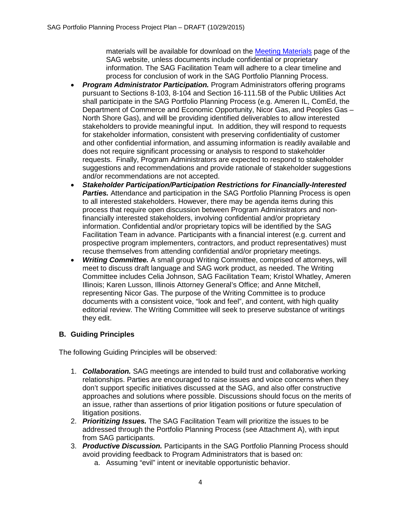materials will be available for download on the [Meeting Materials](http://www.ilsag.info/meeting-materials.html) page of the SAG website, unless documents include confidential or proprietary information. The SAG Facilitation Team will adhere to a clear timeline and process for conclusion of work in the SAG Portfolio Planning Process.

- *Program Administrator Participation.* Program Administrators offering programs pursuant to Sections 8-103, 8-104 and Section 16-111.5B of the Public Utilities Act shall participate in the SAG Portfolio Planning Process (e.g. Ameren IL, ComEd, the Department of Commerce and Economic Opportunity, Nicor Gas, and Peoples Gas – North Shore Gas), and will be providing identified deliverables to allow interested stakeholders to provide meaningful input. In addition, they will respond to requests for stakeholder information, consistent with preserving confidentiality of customer and other confidential information, and assuming information is readily available and does not require significant processing or analysis to respond to stakeholder requests. Finally, Program Administrators are expected to respond to stakeholder suggestions and recommendations and provide rationale of stakeholder suggestions and/or recommendations are not accepted.
- *Stakeholder Participation/Participation Restrictions for Financially-Interested*  **Parties.** Attendance and participation in the SAG Portfolio Planning Process is open to all interested stakeholders. However, there may be agenda items during this process that require open discussion between Program Administrators and nonfinancially interested stakeholders, involving confidential and/or proprietary information. Confidential and/or proprietary topics will be identified by the SAG Facilitation Team in advance. Participants with a financial interest (e.g. current and prospective program implementers, contractors, and product representatives) must recuse themselves from attending confidential and/or proprietary meetings.
- *Writing Committee.* A small group Writing Committee, comprised of attorneys, will meet to discuss draft language and SAG work product, as needed. The Writing Committee includes Celia Johnson, SAG Facilitation Team; Kristol Whatley, Ameren Illinois; Karen Lusson, Illinois Attorney General's Office; and Anne Mitchell, representing Nicor Gas. The purpose of the Writing Committee is to produce documents with a consistent voice, "look and feel", and content, with high quality editorial review. The Writing Committee will seek to preserve substance of writings they edit.

## **B. Guiding Principles**

The following Guiding Principles will be observed:

- 1. *Collaboration.* SAG meetings are intended to build trust and collaborative working relationships. Parties are encouraged to raise issues and voice concerns when they don't support specific initiatives discussed at the SAG, and also offer constructive approaches and solutions where possible. Discussions should focus on the merits of an issue, rather than assertions of prior litigation positions or future speculation of litigation positions.
- 2. *Prioritizing Issues.* The SAG Facilitation Team will prioritize the issues to be addressed through the Portfolio Planning Process (see Attachment A), with input from SAG participants.
- 3. *Productive Discussion.* Participants in the SAG Portfolio Planning Process should avoid providing feedback to Program Administrators that is based on:
	- a. Assuming "evil" intent or inevitable opportunistic behavior.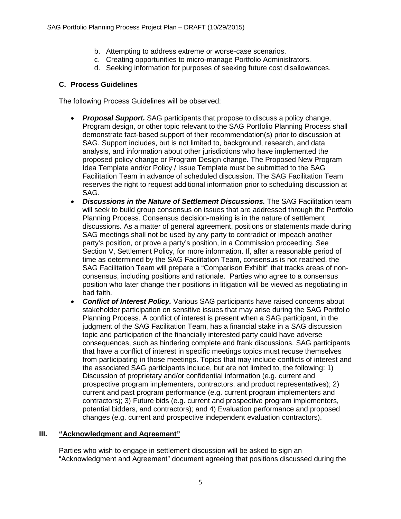- b. Attempting to address extreme or worse-case scenarios.
- c. Creating opportunities to micro-manage Portfolio Administrators.
- d. Seeking information for purposes of seeking future cost disallowances.

### **C. Process Guidelines**

The following Process Guidelines will be observed:

- *Proposal Support.* SAG participants that propose to discuss a policy change, Program design, or other topic relevant to the SAG Portfolio Planning Process shall demonstrate fact-based support of their recommendation(s) prior to discussion at SAG. Support includes, but is not limited to, background, research, and data analysis, and information about other jurisdictions who have implemented the proposed policy change or Program Design change. The Proposed New Program Idea Template and/or Policy / Issue Template must be submitted to the SAG Facilitation Team in advance of scheduled discussion. The SAG Facilitation Team reserves the right to request additional information prior to scheduling discussion at SAG.
- *Discussions in the Nature of Settlement Discussions.* The SAG Facilitation team will seek to build group consensus on issues that are addressed through the Portfolio Planning Process. Consensus decision-making is in the nature of settlement discussions. As a matter of general agreement, positions or statements made during SAG meetings shall not be used by any party to contradict or impeach another party's position, or prove a party's position, in a Commission proceeding. See Section V, Settlement Policy, for more information. If, after a reasonable period of time as determined by the SAG Facilitation Team, consensus is not reached, the SAG Facilitation Team will prepare a "Comparison Exhibit" that tracks areas of nonconsensus, including positions and rationale. Parties who agree to a consensus position who later change their positions in litigation will be viewed as negotiating in bad faith.
- *Conflict of Interest Policy.* Various SAG participants have raised concerns about stakeholder participation on sensitive issues that may arise during the SAG Portfolio Planning Process. A conflict of interest is present when a SAG participant, in the judgment of the SAG Facilitation Team, has a financial stake in a SAG discussion topic and participation of the financially interested party could have adverse consequences, such as hindering complete and frank discussions. SAG participants that have a conflict of interest in specific meetings topics must recuse themselves from participating in those meetings. Topics that may include conflicts of interest and the associated SAG participants include, but are not limited to, the following: 1) Discussion of proprietary and/or confidential information (e.g. current and prospective program implementers, contractors, and product representatives); 2) current and past program performance (e.g. current program implementers and contractors); 3) Future bids (e.g. current and prospective program implementers, potential bidders, and contractors); and 4) Evaluation performance and proposed changes (e.g. current and prospective independent evaluation contractors).

## **III. "Acknowledgment and Agreement"**

Parties who wish to engage in settlement discussion will be asked to sign an "Acknowledgment and Agreement" document agreeing that positions discussed during the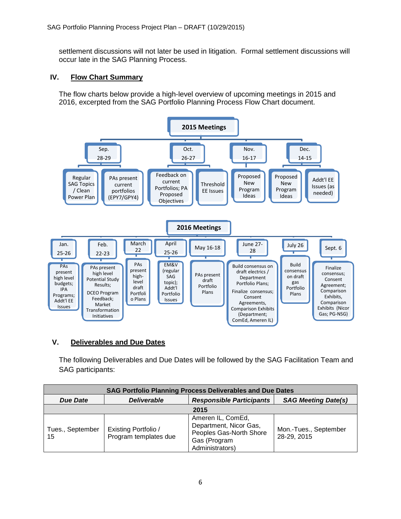settlement discussions will not later be used in litigation. Formal settlement discussions will occur late in the SAG Planning Process.

## **IV. Flow Chart Summary**

The flow charts below provide a high-level overview of upcoming meetings in 2015 and 2016, excerpted from the SAG Portfolio Planning Process Flow Chart document.



## **V. Deliverables and Due Dates**

The following Deliverables and Due Dates will be followed by the SAG Facilitation Team and SAG participants:

| <b>SAG Portfolio Planning Process Deliverables and Due Dates</b> |                                                      |                                                                                                           |                                      |  |  |
|------------------------------------------------------------------|------------------------------------------------------|-----------------------------------------------------------------------------------------------------------|--------------------------------------|--|--|
| <b>Due Date</b>                                                  | <b>Deliverable</b>                                   | <b>Responsible Participants</b>                                                                           | <b>SAG Meeting Date(s)</b>           |  |  |
| 2015                                                             |                                                      |                                                                                                           |                                      |  |  |
| Tues., September<br>15                                           | <b>Existing Portfolio /</b><br>Program templates due | Ameren IL, ComEd,<br>Department, Nicor Gas,<br>Peoples Gas-North Shore<br>Gas (Program<br>Administrators) | Mon.-Tues., September<br>28-29, 2015 |  |  |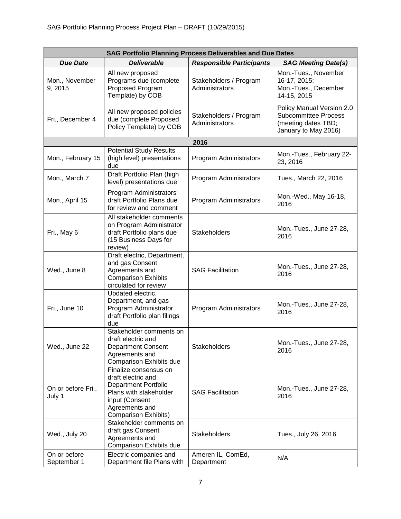| <b>SAG Portfolio Planning Process Deliverables and Due Dates</b> |                                                                                                                                                                         |                                          |                                                                                                         |  |
|------------------------------------------------------------------|-------------------------------------------------------------------------------------------------------------------------------------------------------------------------|------------------------------------------|---------------------------------------------------------------------------------------------------------|--|
| <b>Due Date</b>                                                  | <b>Deliverable</b>                                                                                                                                                      | <b>Responsible Participants</b>          | <b>SAG Meeting Date(s)</b>                                                                              |  |
| Mon., November<br>9,2015                                         | All new proposed<br>Programs due (complete<br>Proposed Program<br>Template) by COB                                                                                      | Stakeholders / Program<br>Administrators | Mon.-Tues., November<br>16-17, 2015;<br>Mon.-Tues., December<br>14-15, 2015                             |  |
| Fri., December 4                                                 | All new proposed policies<br>due (complete Proposed<br>Policy Template) by COB                                                                                          | Stakeholders / Program<br>Administrators | Policy Manual Version 2.0<br><b>Subcommittee Process</b><br>(meeting dates TBD;<br>January to May 2016) |  |
|                                                                  |                                                                                                                                                                         | 2016                                     |                                                                                                         |  |
| Mon., February 15                                                | <b>Potential Study Results</b><br>(high level) presentations<br>due                                                                                                     | Program Administrators                   | Mon.-Tues., February 22-<br>23, 2016                                                                    |  |
| Mon., March 7                                                    | Draft Portfolio Plan (high<br>level) presentations due                                                                                                                  | Program Administrators                   | Tues., March 22, 2016                                                                                   |  |
| Mon., April 15                                                   | Program Administrators'<br>draft Portfolio Plans due<br>for review and comment                                                                                          | Program Administrators                   | Mon.-Wed., May 16-18,<br>2016                                                                           |  |
| Fri., May 6                                                      | All stakeholder comments<br>on Program Administrator<br>draft Portfolio plans due<br>(15 Business Days for<br>review)                                                   | <b>Stakeholders</b>                      | Mon.-Tues., June 27-28,<br>2016                                                                         |  |
| Wed., June 8                                                     | Draft electric, Department,<br>and gas Consent<br>Agreements and<br><b>Comparison Exhibits</b><br>circulated for review                                                 | <b>SAG Facilitation</b>                  | Mon.-Tues., June 27-28,<br>2016                                                                         |  |
| Fri., June 10                                                    | Updated electric,<br>Department, and gas<br>Program Administrator<br>draft Portfolio plan filings<br>due                                                                | Program Administrators                   | Mon.-Tues., June 27-28,<br>2016                                                                         |  |
| Wed., June 22                                                    | Stakeholder comments on<br>draft electric and<br>Department Consent<br>Agreements and<br>Comparison Exhibits due                                                        | Stakeholders                             | Mon.-Tues., June 27-28,<br>2016                                                                         |  |
| On or before Fri.,<br>July 1                                     | Finalize consensus on<br>draft electric and<br><b>Department Portfolio</b><br>Plans with stakeholder<br>input (Consent<br>Agreements and<br><b>Comparison Exhibits)</b> | <b>SAG Facilitation</b>                  | Mon.-Tues., June 27-28,<br>2016                                                                         |  |
| Wed., July 20                                                    | Stakeholder comments on<br>draft gas Consent<br>Agreements and<br>Comparison Exhibits due                                                                               | Stakeholders                             | Tues., July 26, 2016                                                                                    |  |
| On or before<br>September 1                                      | Electric companies and<br>Department file Plans with                                                                                                                    | Ameren IL, ComEd,<br>Department          | N/A                                                                                                     |  |